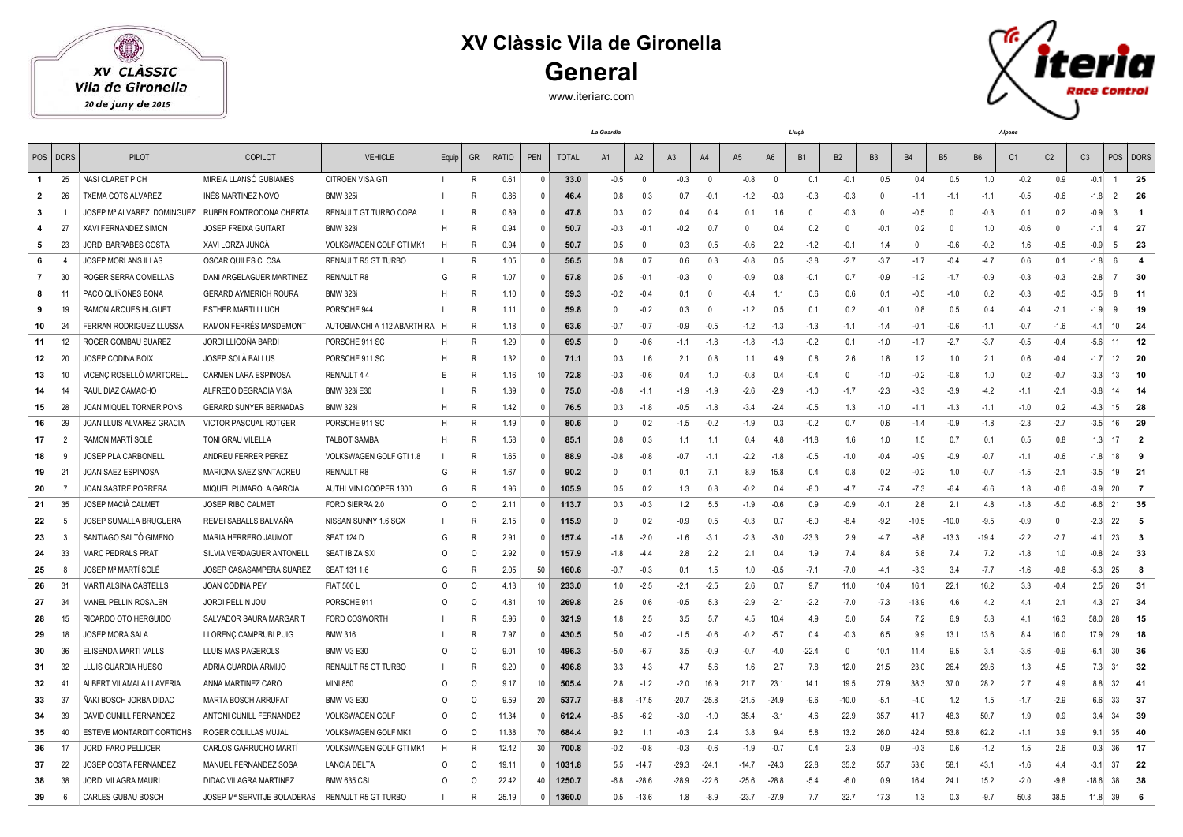## **XV Clàssic Vila de Gironella General**

## XV CLÀSSIC Vila de Gironella

 $\bigcirc$ 

20 de juny de 2015

## www.iteriarc.com



| POS          | <b>DORS</b>    | PILOT                                              | COPILOT                       | <b>VEHICLE</b>                | Equip        | GR           | <b>RATIO</b> | PEN          | <b>TOTAL</b> | A <sub>1</sub> | A2          | A <sub>3</sub> | A4             | A <sub>5</sub> | A <sub>6</sub> | B <sub>1</sub> | B <sub>2</sub> | B <sub>3</sub> | <b>B4</b>    | <b>B5</b> | <b>B6</b> | C <sub>1</sub> | C <sub>2</sub> | C <sub>3</sub><br>POS    | <b>DORS</b>    |
|--------------|----------------|----------------------------------------------------|-------------------------------|-------------------------------|--------------|--------------|--------------|--------------|--------------|----------------|-------------|----------------|----------------|----------------|----------------|----------------|----------------|----------------|--------------|-----------|-----------|----------------|----------------|--------------------------|----------------|
| $\mathbf{1}$ | 25             | NASI CLARET PICH                                   | MIREIA LLANSÓ GUBIANES        | CITROEN VISA GTI              | $\mathbf{I}$ | R            | 0.61         | $\Omega$     | 33.0         | $-0.5$         | $\mathbf 0$ | $-0.3$         | $\overline{0}$ | $-0.8$         | $\mathbf 0$    | 0.1            | $-0.1$         | 0.5            | 0.4          | 0.5       | 1.0       | $-0.2$         | 0.9            | $-0.1$<br>$\overline{1}$ | 25             |
| 2            | 26             | TXEMA COTS ALVAREZ                                 | INÉS MARTINEZ NOVO            | <b>BMW 325i</b>               |              | R            | 0.86         |              | 46.4         | 0.8            | 0.3         | 0.7            | $-0.1$         | $-1.2$         | $-0.3$         | $-0.3$         | $-0.3$         | $\Omega$       | $-1.1$       | $-1.1$    | $-1.1$    | $-0.5$         | $-0.6$         | $-1.8$                   | 26             |
| -3           |                | JOSEP Mª ALVAREZ DOMINGUEZ RUBEN FONTRODONA CHERTA |                               | RENAULT GT TURBO COPA         |              | R            | 0.89         | $\Omega$     | 47.8         | 0.3            | 0.2         | 0.4            | 0.4            | 0.1            | 1.6            | $\Omega$       | $-0.3$         | - 0            | $-0.5$       | $\Omega$  | $-0.3$    | 0.1            | 0.2            | $-0.9$                   | $\overline{1}$ |
|              | 27             | XAVI FERNANDEZ SIMON                               | <b>JOSEP FREIXA GUITART</b>   | <b>BMW 323i</b>               | H            | R            | 0.94         | $\Omega$     | 50.7         | $-0.3$         | $-0.1$      | $-0.2$         | 0.7            | $\Omega$       | 0.4            | 0.2            | $\Omega$       | $-0.1$         | 0.2          | $\Omega$  | 1.0       | $-0.6$         | 0              | $-1.1$                   | 27             |
| 5            | 23             | JORDI BARRABES COSTA                               | XAVI LORZA JUNCÀ              | VOLKSWAGEN GOLF GTI MK1       | H            | $\mathsf{R}$ | 0.94         | $\Omega$     | 50.7         | 0.5            | 0           | 0.3            | 0.5            | $-0.6$         | 2.2            | $-1.2$         | $-0.1$         | 1.4            | $\mathbf{0}$ | $-0.6$    | $-0.2$    | 1.6            | $-0.5$         | $-0.9$                   | 23             |
| 6            | 4              | <b>JOSEP MORLANS ILLAS</b>                         | OSCAR QUILES CLOSA            | RENAULT R5 GT TURBO           |              | R            | 1.05         | $\Omega$     | 56.5         | 0.8            | 0.7         | 0.6            | 0.3            | $-0.8$         | 0.5            | $-3.8$         | $-2.7$         | $-3.7$         | $-1.7$       | $-0.4$    | $-4.7$    | 0.6            | 0.1            | $-1.8$<br>- 6            | 4              |
| 7            | 30             | ROGER SERRA COMELLAS                               | DANI ARGELAGUER MARTINEZ      | <b>RENAULT R8</b>             | G            | R            | 1.07         |              | 57.8         | 0.5            | $-0.1$      | $-0.3$         | $\mathbf{0}$   | $-0.9$         | 0.8            | $-0.1$         | 0.7            | $-0.9$         | $-1.2$       | $-1.7$    | $-0.9$    | $-0.3$         | $-0.3$         | $-2.8$                   | 30             |
| 8            | 11             | PACO QUIÑONES BONA                                 | <b>GERARD AYMERICH ROURA</b>  | <b>BMW 323i</b>               | H            | R            | 1.10         | $\Omega$     | 59.3         | $-0.2$         | $-0.4$      | 0.1            | $\Omega$       | $-0.4$         | 1.1            | 0.6            | 0.6            | 0.1            | $-0.5$       | $-1.0$    | 0.2       | $-0.3$         | $-0.5$         | $-3.5$                   | 11             |
| 9            | 19             | RAMON ARQUES HUGUET                                | <b>ESTHER MARTI LLUCH</b>     | PORSCHE 944                   |              | R            | 1.11         | $\Omega$     | 59.8         | 0              | $-0.2$      | 0.3            | $\Omega$       | $-1.2$         | 0.5            | 0.1            | 0.2            | $-0.1$         | 0.8          | 0.5       | 0.4       | $-0.4$         | $-2.1$         | $-1.9$                   | 19             |
| 10           | 24             | FERRAN RODRIGUEZ LLUSSA                            | RAMON FERRÉS MASDEMONT        | AUTOBIANCHI A 112 ABARTH RA H |              | R            | 1.18         | $\Omega$     | 63.6         | $-0.7$         | $-0.7$      | $-0.9$         | $-0.5$         | $-1.2$         | $-1.3$         | $-1.3$         | $-1.1$         | $-1.4$         | $-0.1$       | $-0.6$    | $-1.1$    | $-0.7$         | $-1.6$         | 10<br>$-4.1$             | 24             |
| 11           | 12             | ROGER GOMBAU SUAREZ                                | JORDI LLIGOÑA BARDI           | PORSCHE 911 SC                | H            | R            | 1.29         |              | 69.5         | $\mathbf{0}$   | $-0.6$      | $-1.1$         | $-1.8$         | $-1.8$         | $-1.3$         | $-0.2$         | 0.1            | $-1.0$         | $-1.7$       | $-2.7$    | $-3.7$    | $-0.5$         | $-0.4$         | $-5.6$<br>11             | 12             |
| 12           | 20             | <b>JOSEP CODINA BOIX</b>                           | JOSEP SOLÀ BALLUS             | PORSCHE 911 SC                | н            | R            | 1.32         | $\Omega$     | 71.1         | 0.3            | 1.6         | 2.1            | 0.8            | 1.1            | 4.9            | 0.8            | 2.6            | 1.8            | 1.2          | 1.0       | 2.1       | 0.6            | $-0.4$         | $-1.7$<br>12             | 20             |
| 13           | 10             | VICENC ROSELLÓ MARTORELL                           | <b>CARMEN LARA ESPINOSA</b>   | RENAULT 44                    | E            | R            | 1.16         | 10           | 72.8         | $-0.3$         | $-0.6$      | 0.4            | 1.0            | $-0.8$         | 0.4            | $-0.4$         | $\Omega$       | $-1.0$         | $-0.2$       | $-0.8$    | 1.0       | 0.2            | $-0.7$         | $-3.3$<br>13             | 10             |
| 14           | 14             | RAUL DIAZ CAMACHO                                  | ALFREDO DEGRACIA VISA         | BMW 323i E30                  |              | R            | 1.39         | $\Omega$     | 75.0         | $-0.8$         | -1.1        | $-1.9$         | $-1.9$         | $-2.6$         | $-2.9$         | $-1.0$         | $-1.7$         | $-2.3$         | $-3.3$       | $-3.9$    | $-4.2$    | $-1.1$         | $-2.1$         | $-3.8$<br>14             | 14             |
| 15           | 28             | JOAN MIQUEL TORNER PONS                            | <b>GERARD SUNYER BERNADAS</b> | <b>BMW 323i</b>               | H            | R            | 1.42         | $\mathsf{D}$ | 76.5         | 0.3            | $-1.8$      | $-0.5$         | $-1.8$         | $-3.4$         | $-2.4$         | $-0.5$         | 1.3            | $-1.0$         | $-1.1$       | $-1.3$    | $-1.1$    | $-1.0$         | 0.2            | 15<br>$-4.3$             | 28             |
| 16           | 29             | JOAN LLUIS ALVAREZ GRACIA                          | <b>VICTOR PASCUAL ROTGER</b>  | PORSCHE 911 SC                | н            | R            | 1.49         |              | 80.6         | $\Omega$       | 0.2         | $-1.5$         | $-0.2$         | $-1.9$         | 0.3            | $-0.2$         | 0.7            | 0.6            | $-1.4$       | $-0.9$    | $-1.8$    | $-2.3$         | $-2.7$         | 16<br>$-3.5$             | 29             |
| 17           | $\overline{2}$ | RAMON MARTÍ SOLÉ                                   | TONI GRAU VILELLA             | <b>TALBOT SAMBA</b>           | H            | R            | 1.58         | $\Omega$     | 85.1         | 0.8            | 0.3         | 1.1            | 1.1            | 0.4            | 4.8            | $-11.8$        | 1.6            | 1.0            | 1.5          | 0.7       | 0.1       | 0.5            | 0.8            | 1.3                      | $\overline{2}$ |
| 18           | 9              | JOSEP PLA CARBONELL                                | ANDREU FERRER PEREZ           | VOLKSWAGEN GOLF GTI 1.8       |              | R            | 1.65         | $\Omega$     | 88.9         | $-0.8$         | $-0.8$      | $-0.7$         | $-1.1$         | $-2.2$         | $-1.8$         | $-0.5$         | $-1.0$         | $-0.4$         | $-0.9$       | $-0.9$    | $-0.7$    | $-1.1$         | $-0.6$         | 18<br>$-1.8$             | 9              |
| 19           | 21             | JOAN SAEZ ESPINOSA                                 | MARIONA SAEZ SANTACREU        | RENAULT R8                    | G            | R            | 1.67         | $\Omega$     | 90.2         | 0              | 0.1         | 0.1            | 7.1            | 8.9            | 15.8           | 0.4            | 0.8            | 0.2            | $-0.2$       | 1.0       | $-0.7$    | $-1.5$         | $-2.1$         | 19<br>$-3.5$             | 21             |
| 20           | - 7            | JOAN SASTRE PORRERA                                | MIQUEL PUMAROLA GARCIA        | AUTHI MINI COOPER 1300        | G            | R            | 1.96         | $\Omega$     | 105.9        | 0.5            | 0.2         | 1.3            | 0.8            | $-0.2$         | 0.4            | $-8.0$         | $-4.7$         | $-7.4$         | $-7.3$       | $-6.4$    | $-6.6$    | 1.8            | $-0.6$         | 20<br>$-3.9$             | $\overline{7}$ |
| 21           | 35             | <b>JOSEP MACIA CALMET</b>                          | <b>JOSEP RIBO CALMET</b>      | FORD SIERRA 2.0               | $\Omega$     | $\circ$      | 2.11         | $\Omega$     | 113.7        | 0.3            | $-0.3$      | 1.2            | 5.5            | $-1.9$         | $-0.6$         | 0.9            | $-0.9$         | $-0.1$         | 2.8          | 2.1       | 4.8       | $-1.8$         | $-5.0$         | 21<br>$-6.6$             | 35             |
| 22           | -5             | <b>JOSEP SUMALLA BRUGUERA</b>                      | REMEI SABALLS BALMAÑA         | NISSAN SUNNY 1.6 SGX          |              | R            | 2.15         | $\Omega$     | 115.9        | $\mathbf{0}$   | 0.2         | $-0.9$         | 0.5            | $-0.3$         | 0.7            | $-6.0$         | $-8.4$         | $-9.2$         | $-10.5$      | $-10.0$   | $-9.5$    | $-0.9$         | $\mathbf{0}$   | 22<br>$-2.3$             | - 5            |
| 23           | -3             | SANTIAGO SALTÓ GIMENO                              | MARIA HERRERO JAUMOT          | SEAT 124 D                    | G            | R            | 2.91         | $\Omega$     | 157.4        | $-1.8$         | $-2.0$      | $-1.6$         | $-3.1$         | $-2.3$         | $-3.0$         | $-23.3$        | 2.9            | $-4.7$         | $-8.8$       | $-13.3$   | $-19.4$   | $-2.2$         | $-2.7$         | 23<br>$-4.1$             | 3              |
| 24           | 33             | <b>MARC PEDRALS PRAT</b>                           | SILVIA VERDAGUER ANTONELL     | SEAT IBIZA SXI                | $\Omega$     | $\circ$      | 2.92         | $\Omega$     | 157.9        | $-1.8$         | -4.4        | 2.8            | 2.2            | 2.1            | 0.4            | 1.9            | 7.4            | 8.4            | 5.8          | 7.4       | 7.2       | $-1.8$         | 1.0            | 24<br>$-0.8$             | 33             |
| 25           | - 8            | JOSEP Mª MARTÍ SOLÉ                                | JOSEP CASASAMPERA SUAREZ      | SEAT 131 1.6                  | G            | R            | 2.05         | 50           | 160.6        | $-0.7$         | $-0.3$      | 0.1            | 1.5            | 1.0            | $-0.5$         | $-7.1$         | $-7.0$         | $-4.1$         | $-3.3$       | 3.4       | $-7.7$    | $-1.6$         | $-0.8$         | 25<br>$-5.3$             | 8              |
| 26           | 31             | MARTI ALSINA CASTELLS                              | <b>JOAN CODINA PEY</b>        | <b>FIAT 500 L</b>             | $\Omega$     | $\circ$      | 4.13         | 10           | 233.0        | 1.0            | $-2.5$      | $-2.1$         | $-2.5$         | 2.6            | 0.7            | 9.7            | 11.0           | 10.4           | 16.1         | 22.1      | 16.2      | 3.3            | $-0.4$         | 26<br>2.5                | -31            |
| 27           | 34             | MANEL PELLIN ROSALEN                               | <b>JORDI PELLIN JOU</b>       | PORSCHE 911                   | $\Omega$     | $\Omega$     | 4.81         | 10           | 269.8        | 2.5            | 0.6         | $-0.5$         | 5.3            | $-2.9$         | $-2.1$         | $-2.2$         | $-7.0$         | $-7.3$         | $-13.9$      | 4.6       | 4.2       | 4.4            | 2.1            | 27<br>4.3                | -34            |
| 28           | 15             | RICARDO OTO HERGUIDO                               | SALVADOR SAURA MARGARIT       | FORD COSWORTH                 |              | R            | 5.96         | $\Omega$     | 321.9        | 1.8            | 2.5         | 3.5            | 5.7            | 4.5            | 10.4           | 4.9            | 5.0            | 5.4            | 7.2          | 6.9       | 5.8       | 4.1            | 16.3           | 58.0<br>28               | 15             |
| 29           | 18             | JOSEP MORA SALA                                    | LLORENÇ CAMPRUBI PUIG         | <b>BMW 316</b>                |              | R            | 7.97         | $\Omega$     | 430.5        | 5.0            | $-0.2$      | $-1.5$         | $-0.6$         | $-0.2$         | $-5.7$         | 0.4            | $-0.3$         | 6.5            | 9.9          | 13.1      | 13.6      | 8.4            | 16.0           | 17.9<br>29               | 18             |
| 30           | 36             | ELISENDA MARTI VALLS                               | LLUIS MAS PAGEROLS            | <b>BMW M3 E30</b>             | $\Omega$     | $\Omega$     | 9.01         | 10           | 496.3        | $-5.0$         | $-6.7$      | 3.5            | $-0.9$         | $-0.7$         | $-4.0$         | $-22.4$        | $\mathbf{0}$   | 10.1           | 11.4         | 9.5       | 3.4       | $-3.6$         | $-0.9$         | 30<br>$-6.1$             | 36             |
| 31           | 32             | LLUIS GUARDIA HUESO                                | ADRIA GUARDIA ARMIJO          | RENAULT R5 GT TURBO           |              | R            | 9.20         |              | 496.8        | 3.3            | 4.3         | 4.7            | 5.6            | 1.6            | 2.7            | 7.8            | 12.0           | 21.5           | 23.0         | 26.4      | 29.6      | 1.3            | 4.5            | 7.3<br>- 31              | 32             |
| 32           | 41             | ALBERT VILAMALA LLAVERIA                           | ANNA MARTINEZ CARO            | <b>MINI 850</b>               | $\Omega$     | $\Omega$     | 9.17         | 10           | 505.4        | 2.8            | $-1.2$      | $-2.0$         | 16.9           | 21.7           | 23.1           | 14.1           | 19.5           | 27.9           | 38.3         | 37.0      | 28.2      | 2.7            | 4.9            | 32<br>8.8                | 41             |
| 33           | 37             | ÑAKI BOSCH JORBA DIDAC                             | <b>MARTA BOSCH ARRUFAT</b>    | <b>BMW M3 E30</b>             | $\Omega$     | $\Omega$     | 9.59         | 20           | 537.7        | $-8.8$         | -17.5       | $-20.7$        | $-25.8$        | $-21.5$        | $-24.9$        | $-9.6$         | $-10.0$        | $-5.1$         | $-4.0$       | 1.2       | 1.5       | $-1.7$         | $-2.9$         | 33<br>6.6                | 37             |
| 34           | 39             | DAVID CUNILL FERNANDEZ                             | ANTONI CUNILL FERNANDEZ       | <b>VOLKSWAGEN GOLF</b>        | $\Omega$     | $\circ$      | 11.34        | $\Omega$     | 612.4        | $-8.5$         | $-6.2$      | $-3.0$         | $-1.0$         | 35.4           | $-3.1$         | 4.6            | 22.9           | 35.7           | 41.7         | 48.3      | 50.7      | 1.9            | 0.9            | 34<br>3.4                | 39             |
| 35           | 40             | ESTEVE MONTARDIT CORTICHS                          | ROGER COLILLAS MUJAL          | <b>VOLKSWAGEN GOLF MK1</b>    | $\Omega$     | $\circ$      | 11.38        | 70           | 684.4        | 9.2            | 1.1         | $-0.3$         | 2.4            | 3.8            | 9.4            | 5.8            | 13.2           | 26.0           | 42.4         | 53.8      | 62.2      | $-1.1$         | 3.9            | 9.1<br>35                | 40             |
| 36           | 17             | <b>JORDI FARO PELLICER</b>                         | CARLOS GARRUCHO MARTI         | VOLKSWAGEN GOLF GTI MK1       | H            | R            | 12.42        | 30           | 700.8        | $-0.2$         | $-0.8$      | $-0.3$         | $-0.6$         | $-1.9$         | $-0.7$         | 0.4            | 2.3            | 0.9            | $-0.3$       | 0.6       | $-1.2$    | 1.5            | 2.6            | 36<br>0.3                | 17             |
| 37           | 22             | JOSEP COSTA FERNANDEZ                              | MANUEL FERNANDEZ SOSA         | <b>LANCIA DELTA</b>           | $\Omega$     | $\Omega$     | 19.11        | $\Omega$     | 1031.8       | 5.5            | $-14.7$     | $-29.3$        | $-24.1$        | $-14.7$        | $-24.3$        | 22.8           | 35.2           | 55.7           | 53.6         | 58.1      | 43.1      | $-1.6$         | 4.4            | $-3.1$<br>-37            | 22             |
| 38           | 38             | JORDI VILAGRA MAURI                                | DIDAC VILAGRA MARTINEZ        | <b>BMW 635 CSI</b>            | $\Omega$     | $\Omega$     | 22.42        | 40           | 1250.7       | $-6.8$         | -28.6       | $-28.9$        | $-22.6$        | $-25.6$        | $-28.8$        | $-5.4$         | $-6.0$         | 0.9            | 16.4         | 24.1      | 15.2      | $-2.0$         | $-9.8$         | $-18.6$<br>38            | 38             |
| 39           | 6              | CARLES GUBAU BOSCH                                 | JOSEP Mª SERVITJE BOLADERAS   | RENAULT R5 GT TURBO           |              | R            | 25.19        | $\Omega$     | 1360.0       | 0.5            | $-13.6$     | 1.8            | $-8.9$         | $-23.7$        | $-27.9$        | 7.7            | 32.7           | 17.3           | 1.3          | 0.3       | $-9.7$    | 50.8           | 38.5           | 39<br>11.8               | 6              |